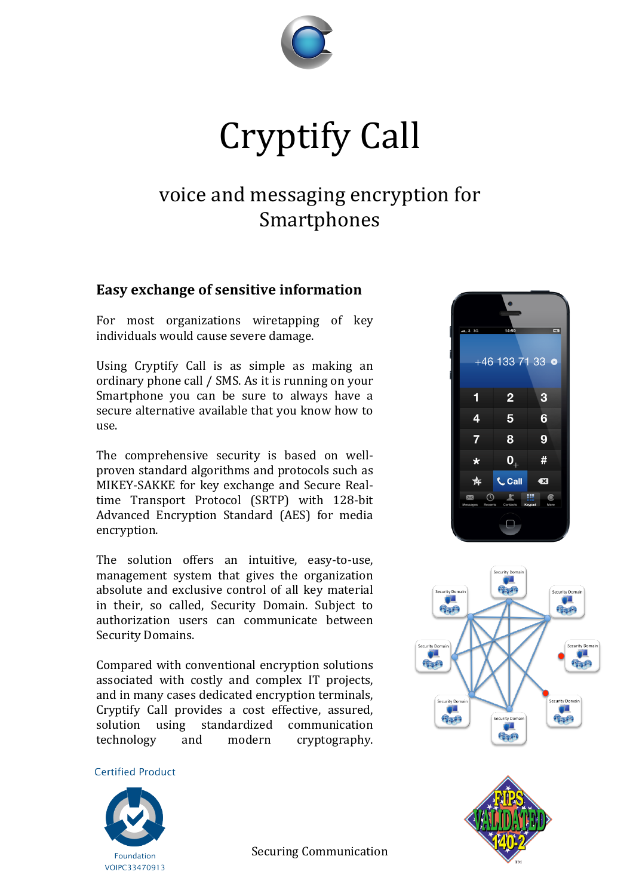

# Cryptify Call

# voice and messaging encryption for Smartphones

## **Easy exchange of sensitive information**

For most organizations wiretapping of key individuals would cause severe damage.

Using Cryptify Call is as simple as making an ordinary phone call / SMS. As it is running on your Smartphone you can be sure to always have a secure alternative available that you know how to use.

The comprehensive security is based on wellproven standard algorithms and protocols such as MIKEY-SAKKE for key exchange and Secure Realtime Transport Protocol (SRTP) with 128-bit Advanced Encryption Standard (AES) for media encryption.

The solution offers an intuitive, easy-to-use, management system that gives the organization absolute and exclusive control of all key material in their, so called, Security Domain. Subject to authorization users can communicate between Security Domains.

Compared with conventional encryption solutions associated with costly and complex IT projects, and in many cases dedicated encryption terminals, Cryptify Call provides a cost effective, assured, solution using standardized communication technology and modern cryptography.

**Certified Product**